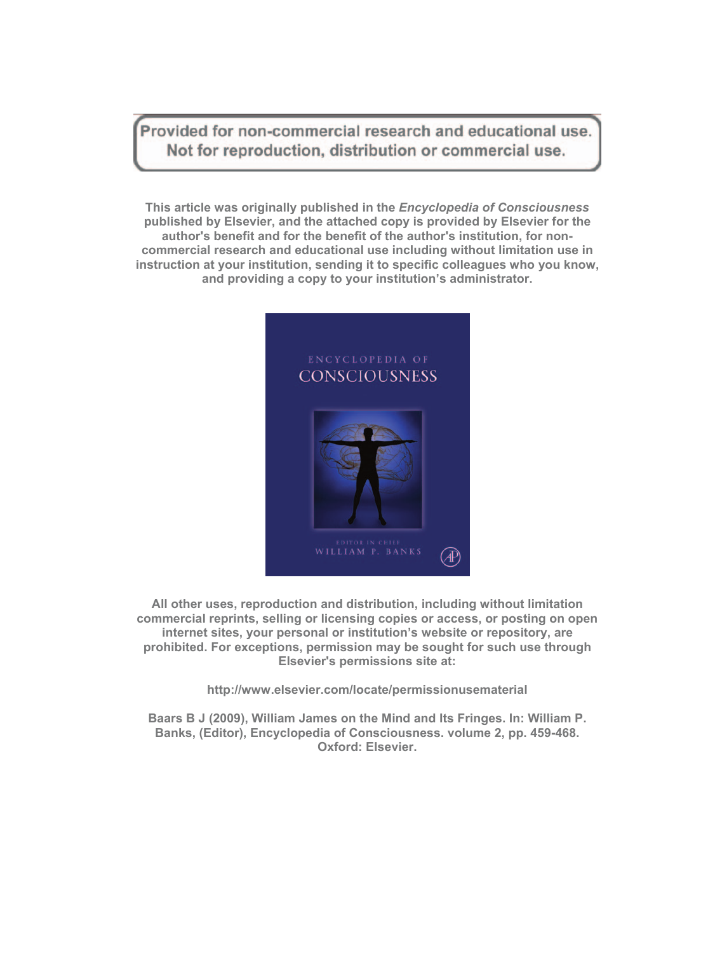Provided for non-commercial research and educational use. Not for reproduction, distribution or commercial use.

This article was originally published in the *Encyclopedia of Consciousness* published by Elsevier, and the attached copy is provided by Elsevier for the author's benefit and for the benefit of the author's institution, for noncommercial research and educational use including without limitation use in instruction at your institution, sending it to specific colleagues who you know, and providing a copy to your institution's administrator.



All other uses, reproduction and distribution, including without limitation commercial reprints, selling or licensing copies or access, or posting on open internet sites, your personal or institution's website or repository, are prohibited. For exceptions, permission may be sought for such use through Elsevier's permissions site at:

http://www.elsevier.com/locate/permissionusematerial

Baars B J (2009). William James on the Mind and Its Fringes. In: William P. Banks, (Editor), Encyclopedia of Consciousness. volume 2, pp. 459-468. Oxford: Elsevier.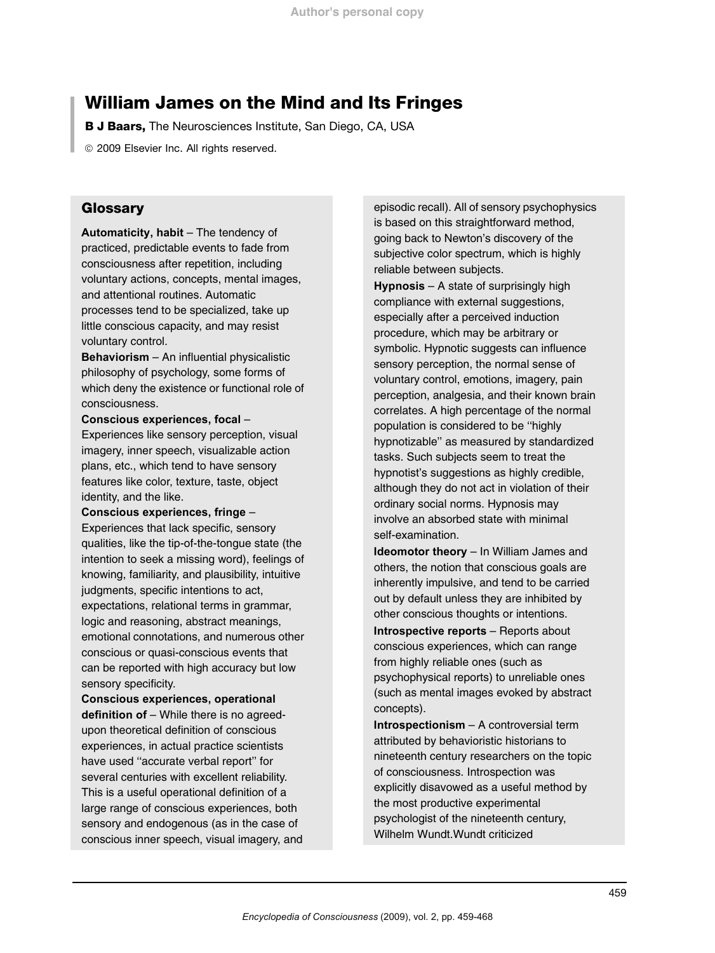# William James on the Mind and Its Fringes

**B J Baars, The Neurosciences Institute, San Diego, CA, USA** 

ã 2009 Elsevier Inc. All rights reserved.

# **Glossary**

Automaticity, habit – The tendency of practiced, predictable events to fade from consciousness after repetition, including voluntary actions, concepts, mental images, and attentional routines. Automatic processes tend to be specialized, take up little conscious capacity, and may resist voluntary control.

Behaviorism – An influential physicalistic philosophy of psychology, some forms of which deny the existence or functional role of consciousness.

Conscious experiences, focal –

Experiences like sensory perception, visual imagery, inner speech, visualizable action plans, etc., which tend to have sensory features like color, texture, taste, object identity, and the like.

Conscious experiences, fringe – Experiences that lack specific, sensory qualities, like the tip-of-the-tongue state (the intention to seek a missing word), feelings of knowing, familiarity, and plausibility, intuitive judgments, specific intentions to act, expectations, relational terms in grammar, logic and reasoning, abstract meanings, emotional connotations, and numerous other conscious or quasi-conscious events that can be reported with high accuracy but low sensory specificity.

Conscious experiences, operational definition of – While there is no agreedupon theoretical definition of conscious experiences, in actual practice scientists have used ''accurate verbal report'' for several centuries with excellent reliability. This is a useful operational definition of a large range of conscious experiences, both sensory and endogenous (as in the case of conscious inner speech, visual imagery, and episodic recall). All of sensory psychophysics is based on this straightforward method, going back to Newton's discovery of the subjective color spectrum, which is highly reliable between subjects.

Hypnosis – A state of surprisingly high compliance with external suggestions. especially after a perceived induction procedure, which may be arbitrary or symbolic. Hypnotic suggests can influence sensory perception, the normal sense of voluntary control, emotions, imagery, pain perception, analgesia, and their known brain correlates. A high percentage of the normal population is considered to be ''highly hypnotizable'' as measured by standardized tasks. Such subjects seem to treat the hypnotist's suggestions as highly credible, although they do not act in violation of their ordinary social norms. Hypnosis may involve an absorbed state with minimal self-examination.

Ideomotor theory – In William James and others, the notion that conscious goals are inherently impulsive, and tend to be carried out by default unless they are inhibited by other conscious thoughts or intentions. Introspective reports – Reports about conscious experiences, which can range from highly reliable ones (such as psychophysical reports) to unreliable ones (such as mental images evoked by abstract concepts).

Introspectionism – A controversial term attributed by behavioristic historians to nineteenth century researchers on the topic of consciousness. Introspection was explicitly disavowed as a useful method by the most productive experimental psychologist of the nineteenth century, Wilhelm Wundt.Wundt criticized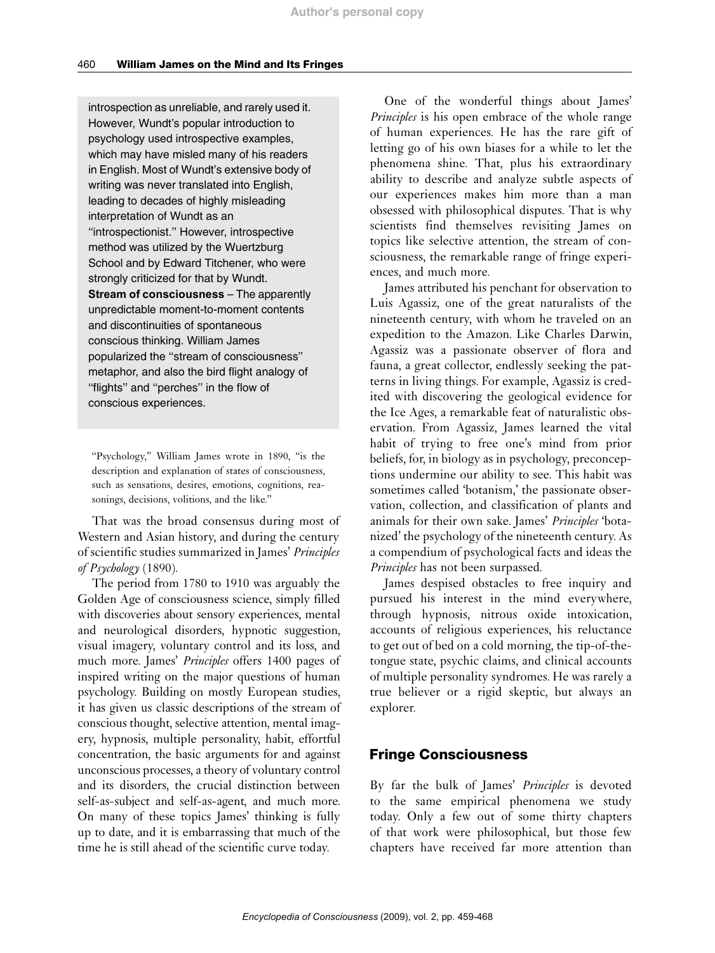introspection as unreliable, and rarely used it. However, Wundt's popular introduction to psychology used introspective examples, which may have misled many of his readers in English. Most of Wundt's extensive body of writing was never translated into English, leading to decades of highly misleading interpretation of Wundt as an ''introspectionist.'' However, introspective method was utilized by the Wuertzburg School and by Edward Titchener, who were strongly criticized for that by Wundt. Stream of consciousness – The apparently unpredictable moment-to-moment contents and discontinuities of spontaneous conscious thinking. William James popularized the ''stream of consciousness'' metaphor, and also the bird flight analogy of ''flights'' and ''perches'' in the flow of conscious experiences.

"Psychology," William James wrote in 1890, "is the description and explanation of states of consciousness, such as sensations, desires, emotions, cognitions, reasonings, decisions, volitions, and the like.''

That was the broad consensus during most of Western and Asian history, and during the century of scientific studies summarized in James' Principles of Psychology (1890).

The period from 1780 to 1910 was arguably the Golden Age of consciousness science, simply filled with discoveries about sensory experiences, mental and neurological disorders, hypnotic suggestion, visual imagery, voluntary control and its loss, and much more. James' Principles offers 1400 pages of inspired writing on the major questions of human psychology. Building on mostly European studies, it has given us classic descriptions of the stream of conscious thought, selective attention, mental imagery, hypnosis, multiple personality, habit, effortful concentration, the basic arguments for and against unconscious processes, a theory of voluntary control and its disorders, the crucial distinction between self-as-subject and self-as-agent, and much more. On many of these topics James' thinking is fully up to date, and it is embarrassing that much of the time he is still ahead of the scientific curve today.

One of the wonderful things about James' Principles is his open embrace of the whole range of human experiences. He has the rare gift of letting go of his own biases for a while to let the phenomena shine. That, plus his extraordinary ability to describe and analyze subtle aspects of our experiences makes him more than a man obsessed with philosophical disputes. That is why scientists find themselves revisiting James on topics like selective attention, the stream of consciousness, the remarkable range of fringe experiences, and much more.

James attributed his penchant for observation to Luis Agassiz, one of the great naturalists of the nineteenth century, with whom he traveled on an expedition to the Amazon. Like Charles Darwin, Agassiz was a passionate observer of flora and fauna, a great collector, endlessly seeking the patterns in living things. For example, Agassiz is credited with discovering the geological evidence for the Ice Ages, a remarkable feat of naturalistic observation. From Agassiz, James learned the vital habit of trying to free one's mind from prior beliefs, for, in biology as in psychology, preconceptions undermine our ability to see. This habit was sometimes called 'botanism,' the passionate observation, collection, and classification of plants and animals for their own sake. James' Principles 'botanized' the psychology of the nineteenth century. As a compendium of psychological facts and ideas the Principles has not been surpassed.

James despised obstacles to free inquiry and pursued his interest in the mind everywhere, through hypnosis, nitrous oxide intoxication, accounts of religious experiences, his reluctance to get out of bed on a cold morning, the tip-of-thetongue state, psychic claims, and clinical accounts of multiple personality syndromes. He was rarely a true believer or a rigid skeptic, but always an explorer.

# Fringe Consciousness

By far the bulk of James' Principles is devoted to the same empirical phenomena we study today. Only a few out of some thirty chapters of that work were philosophical, but those few chapters have received far more attention than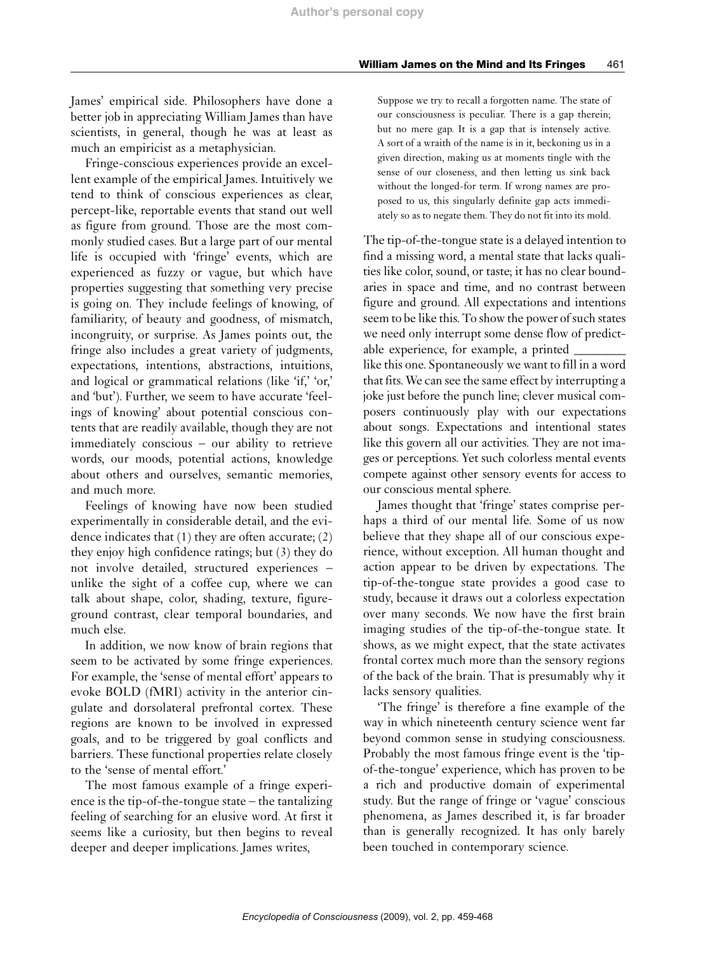James' empirical side. Philosophers have done a better job in appreciating William James than have scientists, in general, though he was at least as much an empiricist as a metaphysician.

Fringe-conscious experiences provide an excellent example of the empirical James. Intuitively we tend to think of conscious experiences as clear, percept-like, reportable events that stand out well as figure from ground. Those are the most commonly studied cases. But a large part of our mental life is occupied with 'fringe' events, which are experienced as fuzzy or vague, but which have properties suggesting that something very precise is going on. They include feelings of knowing, of familiarity, of beauty and goodness, of mismatch, incongruity, or surprise. As James points out, the fringe also includes a great variety of judgments, expectations, intentions, abstractions, intuitions, and logical or grammatical relations (like 'if,' 'or,' and 'but'). Further, we seem to have accurate 'feelings of knowing' about potential conscious contents that are readily available, though they are not immediately conscious – our ability to retrieve words, our moods, potential actions, knowledge about others and ourselves, semantic memories, and much more.

Feelings of knowing have now been studied experimentally in considerable detail, and the evidence indicates that (1) they are often accurate; (2) they enjoy high confidence ratings; but (3) they do not involve detailed, structured experiences – unlike the sight of a coffee cup, where we can talk about shape, color, shading, texture, figureground contrast, clear temporal boundaries, and much else.

In addition, we now know of brain regions that seem to be activated by some fringe experiences. For example, the 'sense of mental effort' appears to evoke BOLD (fMRI) activity in the anterior cingulate and dorsolateral prefrontal cortex. These regions are known to be involved in expressed goals, and to be triggered by goal conflicts and barriers. These functional properties relate closely to the 'sense of mental effort.'

The most famous example of a fringe experience is the tip-of-the-tongue state – the tantalizing feeling of searching for an elusive word. At first it seems like a curiosity, but then begins to reveal deeper and deeper implications. James writes,

Suppose we try to recall a forgotten name. The state of our consciousness is peculiar. There is a gap therein; but no mere gap. It is a gap that is intensely active. A sort of a wraith of the name is in it, beckoning us in a given direction, making us at moments tingle with the sense of our closeness, and then letting us sink back without the longed-for term. If wrong names are proposed to us, this singularly definite gap acts immediately so as to negate them. They do not fit into its mold.

The tip-of-the-tongue state is a delayed intention to find a missing word, a mental state that lacks qualities like color, sound, or taste; it has no clear boundaries in space and time, and no contrast between figure and ground. All expectations and intentions seem to be like this. To show the power of such states we need only interrupt some dense flow of predictable experience, for example, a printed like this one. Spontaneously we want to fill in a word that fits. We can see the same effect by interrupting a joke just before the punch line; clever musical composers continuously play with our expectations about songs. Expectations and intentional states like this govern all our activities. They are not images or perceptions. Yet such colorless mental events compete against other sensory events for access to our conscious mental sphere.

James thought that 'fringe' states comprise perhaps a third of our mental life. Some of us now believe that they shape all of our conscious experience, without exception. All human thought and action appear to be driven by expectations. The tip-of-the-tongue state provides a good case to study, because it draws out a colorless expectation over many seconds. We now have the first brain imaging studies of the tip-of-the-tongue state. It shows, as we might expect, that the state activates frontal cortex much more than the sensory regions of the back of the brain. That is presumably why it lacks sensory qualities.

'The fringe' is therefore a fine example of the way in which nineteenth century science went far beyond common sense in studying consciousness. Probably the most famous fringe event is the 'tipof-the-tongue' experience, which has proven to be a rich and productive domain of experimental study. But the range of fringe or 'vague' conscious phenomena, as James described it, is far broader than is generally recognized. It has only barely been touched in contemporary science.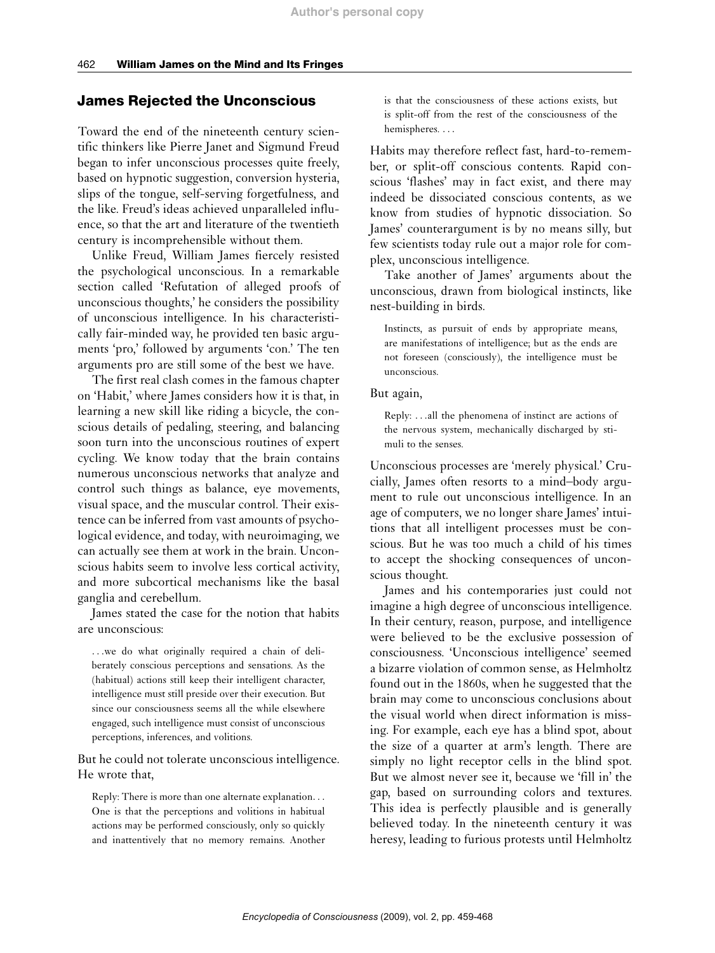# James Rejected the Unconscious

Toward the end of the nineteenth century scientific thinkers like Pierre Janet and Sigmund Freud began to infer unconscious processes quite freely, based on hypnotic suggestion, conversion hysteria, slips of the tongue, self-serving forgetfulness, and the like. Freud's ideas achieved unparalleled influence, so that the art and literature of the twentieth century is incomprehensible without them.

Unlike Freud, William James fiercely resisted the psychological unconscious. In a remarkable section called 'Refutation of alleged proofs of unconscious thoughts,' he considers the possibility of unconscious intelligence. In his characteristically fair-minded way, he provided ten basic arguments 'pro,' followed by arguments 'con.' The ten arguments pro are still some of the best we have.

The first real clash comes in the famous chapter on 'Habit,' where James considers how it is that, in learning a new skill like riding a bicycle, the conscious details of pedaling, steering, and balancing soon turn into the unconscious routines of expert cycling. We know today that the brain contains numerous unconscious networks that analyze and control such things as balance, eye movements, visual space, and the muscular control. Their existence can be inferred from vast amounts of psychological evidence, and today, with neuroimaging, we can actually see them at work in the brain. Unconscious habits seem to involve less cortical activity, and more subcortical mechanisms like the basal ganglia and cerebellum.

James stated the case for the notion that habits are unconscious:

...we do what originally required a chain of deliberately conscious perceptions and sensations. As the (habitual) actions still keep their intelligent character, intelligence must still preside over their execution. But since our consciousness seems all the while elsewhere engaged, such intelligence must consist of unconscious perceptions, inferences, and volitions.

But he could not tolerate unconscious intelligence. He wrote that,

Reply: There is more than one alternate explanation... One is that the perceptions and volitions in habitual actions may be performed consciously, only so quickly and inattentively that no memory remains. Another

is that the consciousness of these actions exists, but is split-off from the rest of the consciousness of the hemispheres. ...

Habits may therefore reflect fast, hard-to-remember, or split-off conscious contents. Rapid conscious 'flashes' may in fact exist, and there may indeed be dissociated conscious contents, as we know from studies of hypnotic dissociation. So James' counterargument is by no means silly, but few scientists today rule out a major role for complex, unconscious intelligence.

Take another of James' arguments about the unconscious, drawn from biological instincts, like nest-building in birds.

Instincts, as pursuit of ends by appropriate means, are manifestations of intelligence; but as the ends are not foreseen (consciously), the intelligence must be unconscious.

#### But again,

Reply: ...all the phenomena of instinct are actions of the nervous system, mechanically discharged by stimuli to the senses.

Unconscious processes are 'merely physical.' Crucially, James often resorts to a mind–body argument to rule out unconscious intelligence. In an age of computers, we no longer share James' intuitions that all intelligent processes must be conscious. But he was too much a child of his times to accept the shocking consequences of unconscious thought.

James and his contemporaries just could not imagine a high degree of unconscious intelligence. In their century, reason, purpose, and intelligence were believed to be the exclusive possession of consciousness. 'Unconscious intelligence' seemed a bizarre violation of common sense, as Helmholtz found out in the 1860s, when he suggested that the brain may come to unconscious conclusions about the visual world when direct information is missing. For example, each eye has a blind spot, about the size of a quarter at arm's length. There are simply no light receptor cells in the blind spot. But we almost never see it, because we 'fill in' the gap, based on surrounding colors and textures. This idea is perfectly plausible and is generally believed today. In the nineteenth century it was heresy, leading to furious protests until Helmholtz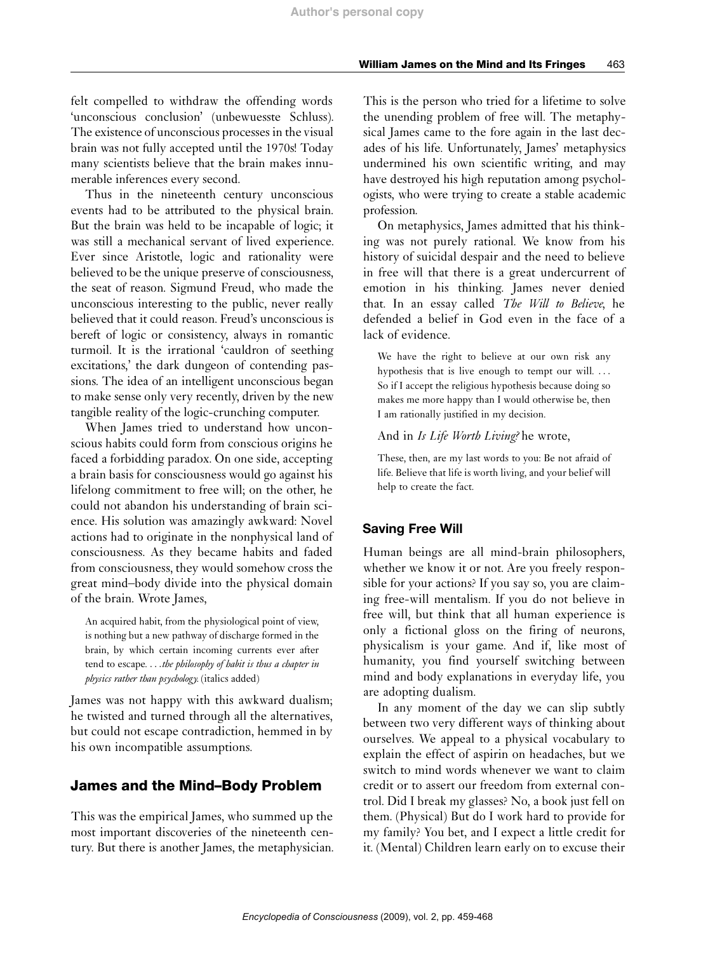felt compelled to withdraw the offending words 'unconscious conclusion' (unbewuesste Schluss). The existence of unconscious processes in the visual brain was not fully accepted until the 1970s! Today many scientists believe that the brain makes innumerable inferences every second.

Thus in the nineteenth century unconscious events had to be attributed to the physical brain. But the brain was held to be incapable of logic; it was still a mechanical servant of lived experience. Ever since Aristotle, logic and rationality were believed to be the unique preserve of consciousness, the seat of reason. Sigmund Freud, who made the unconscious interesting to the public, never really believed that it could reason. Freud's unconscious is bereft of logic or consistency, always in romantic turmoil. It is the irrational 'cauldron of seething excitations,' the dark dungeon of contending passions. The idea of an intelligent unconscious began to make sense only very recently, driven by the new tangible reality of the logic-crunching computer.

When James tried to understand how unconscious habits could form from conscious origins he faced a forbidding paradox. On one side, accepting a brain basis for consciousness would go against his lifelong commitment to free will; on the other, he could not abandon his understanding of brain science. His solution was amazingly awkward: Novel actions had to originate in the nonphysical land of consciousness. As they became habits and faded from consciousness, they would somehow cross the great mind–body divide into the physical domain of the brain. Wrote James,

An acquired habit, from the physiological point of view, is nothing but a new pathway of discharge formed in the brain, by which certain incoming currents ever after tend to escape. . . .the philosophy of habit is thus a chapter in physics rather than psychology. (italics added)

James was not happy with this awkward dualism; he twisted and turned through all the alternatives, but could not escape contradiction, hemmed in by his own incompatible assumptions.

# James and the Mind–Body Problem

This was the empirical James, who summed up the most important discoveries of the nineteenth century. But there is another James, the metaphysician. This is the person who tried for a lifetime to solve the unending problem of free will. The metaphysical James came to the fore again in the last decades of his life. Unfortunately, James' metaphysics undermined his own scientific writing, and may have destroyed his high reputation among psychologists, who were trying to create a stable academic profession.

On metaphysics, James admitted that his thinking was not purely rational. We know from his history of suicidal despair and the need to believe in free will that there is a great undercurrent of emotion in his thinking. James never denied that. In an essay called The Will to Believe, he defended a belief in God even in the face of a lack of evidence.

We have the right to believe at our own risk any hypothesis that is live enough to tempt our will. ... So if I accept the religious hypothesis because doing so makes me more happy than I would otherwise be, then I am rationally justified in my decision.

And in Is Life Worth Living? he wrote,

These, then, are my last words to you: Be not afraid of life. Believe that life is worth living, and your belief will help to create the fact.

# Saving Free Will

Human beings are all mind-brain philosophers, whether we know it or not. Are you freely responsible for your actions? If you say so, you are claiming free-will mentalism. If you do not believe in free will, but think that all human experience is only a fictional gloss on the firing of neurons, physicalism is your game. And if, like most of humanity, you find yourself switching between mind and body explanations in everyday life, you are adopting dualism.

In any moment of the day we can slip subtly between two very different ways of thinking about ourselves. We appeal to a physical vocabulary to explain the effect of aspirin on headaches, but we switch to mind words whenever we want to claim credit or to assert our freedom from external control. Did I break my glasses? No, a book just fell on them. (Physical) But do I work hard to provide for my family? You bet, and I expect a little credit for it. (Mental) Children learn early on to excuse their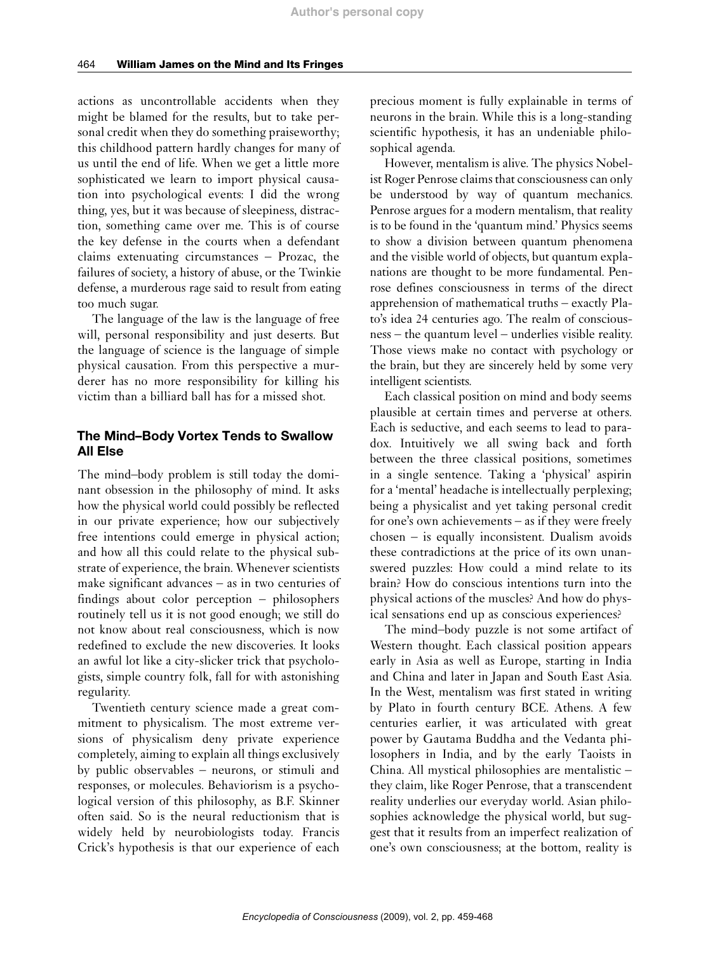actions as uncontrollable accidents when they might be blamed for the results, but to take personal credit when they do something praiseworthy; this childhood pattern hardly changes for many of us until the end of life. When we get a little more sophisticated we learn to import physical causation into psychological events: I did the wrong thing, yes, but it was because of sleepiness, distraction, something came over me. This is of course the key defense in the courts when a defendant claims extenuating circumstances – Prozac, the failures of society, a history of abuse, or the Twinkie defense, a murderous rage said to result from eating too much sugar.

The language of the law is the language of free will, personal responsibility and just deserts. But the language of science is the language of simple physical causation. From this perspective a murderer has no more responsibility for killing his victim than a billiard ball has for a missed shot.

# The Mind–Body Vortex Tends to Swallow All Else

The mind–body problem is still today the dominant obsession in the philosophy of mind. It asks how the physical world could possibly be reflected in our private experience; how our subjectively free intentions could emerge in physical action; and how all this could relate to the physical substrate of experience, the brain. Whenever scientists make significant advances – as in two centuries of findings about color perception – philosophers routinely tell us it is not good enough; we still do not know about real consciousness, which is now redefined to exclude the new discoveries. It looks an awful lot like a city-slicker trick that psychologists, simple country folk, fall for with astonishing regularity.

Twentieth century science made a great commitment to physicalism. The most extreme versions of physicalism deny private experience completely, aiming to explain all things exclusively by public observables – neurons, or stimuli and responses, or molecules. Behaviorism is a psychological version of this philosophy, as B.F. Skinner often said. So is the neural reductionism that is widely held by neurobiologists today. Francis Crick's hypothesis is that our experience of each precious moment is fully explainable in terms of neurons in the brain. While this is a long-standing scientific hypothesis, it has an undeniable philosophical agenda.

However, mentalism is alive. The physics Nobelist Roger Penrose claims that consciousness can only be understood by way of quantum mechanics. Penrose argues for a modern mentalism, that reality is to be found in the 'quantum mind.' Physics seems to show a division between quantum phenomena and the visible world of objects, but quantum explanations are thought to be more fundamental. Penrose defines consciousness in terms of the direct apprehension of mathematical truths – exactly Plato's idea 24 centuries ago. The realm of consciousness – the quantum level – underlies visible reality. Those views make no contact with psychology or the brain, but they are sincerely held by some very intelligent scientists.

Each classical position on mind and body seems plausible at certain times and perverse at others. Each is seductive, and each seems to lead to paradox. Intuitively we all swing back and forth between the three classical positions, sometimes in a single sentence. Taking a 'physical' aspirin for a 'mental' headache is intellectually perplexing; being a physicalist and yet taking personal credit for one's own achievements – as if they were freely chosen – is equally inconsistent. Dualism avoids these contradictions at the price of its own unanswered puzzles: How could a mind relate to its brain? How do conscious intentions turn into the physical actions of the muscles? And how do physical sensations end up as conscious experiences?

The mind–body puzzle is not some artifact of Western thought. Each classical position appears early in Asia as well as Europe, starting in India and China and later in Japan and South East Asia. In the West, mentalism was first stated in writing by Plato in fourth century BCE. Athens. A few centuries earlier, it was articulated with great power by Gautama Buddha and the Vedanta philosophers in India, and by the early Taoists in China. All mystical philosophies are mentalistic – they claim, like Roger Penrose, that a transcendent reality underlies our everyday world. Asian philosophies acknowledge the physical world, but suggest that it results from an imperfect realization of one's own consciousness; at the bottom, reality is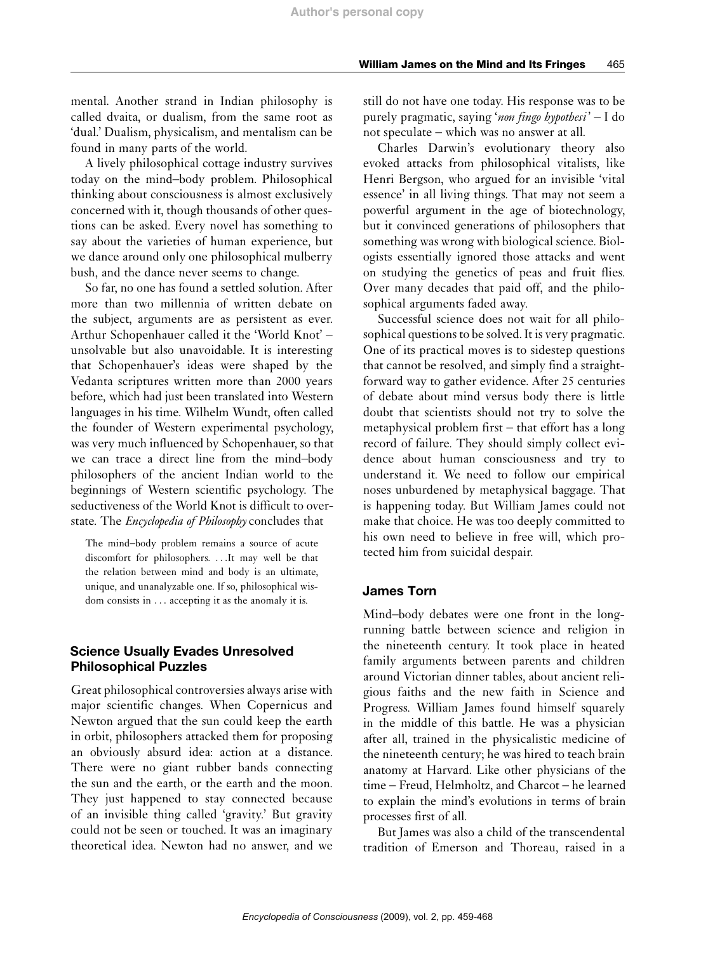mental. Another strand in Indian philosophy is called dvaita, or dualism, from the same root as 'dual.' Dualism, physicalism, and mentalism can be found in many parts of the world.

A lively philosophical cottage industry survives today on the mind–body problem. Philosophical thinking about consciousness is almost exclusively concerned with it, though thousands of other questions can be asked. Every novel has something to say about the varieties of human experience, but we dance around only one philosophical mulberry bush, and the dance never seems to change.

So far, no one has found a settled solution. After more than two millennia of written debate on the subject, arguments are as persistent as ever. Arthur Schopenhauer called it the 'World Knot' – unsolvable but also unavoidable. It is interesting that Schopenhauer's ideas were shaped by the Vedanta scriptures written more than 2000 years before, which had just been translated into Western languages in his time. Wilhelm Wundt, often called the founder of Western experimental psychology, was very much influenced by Schopenhauer, so that we can trace a direct line from the mind–body philosophers of the ancient Indian world to the beginnings of Western scientific psychology. The seductiveness of the World Knot is difficult to overstate. The Encyclopedia of Philosophy concludes that

The mind–body problem remains a source of acute discomfort for philosophers. ...It may well be that the relation between mind and body is an ultimate, unique, and unanalyzable one. If so, philosophical wisdom consists in ... accepting it as the anomaly it is.

## Science Usually Evades Unresolved Philosophical Puzzles

Great philosophical controversies always arise with major scientific changes. When Copernicus and Newton argued that the sun could keep the earth in orbit, philosophers attacked them for proposing an obviously absurd idea: action at a distance. There were no giant rubber bands connecting the sun and the earth, or the earth and the moon. They just happened to stay connected because of an invisible thing called 'gravity.' But gravity could not be seen or touched. It was an imaginary theoretical idea. Newton had no answer, and we

still do not have one today. His response was to be purely pragmatic, saying 'non fingo hypothesi ' – I do not speculate – which was no answer at all.

Charles Darwin's evolutionary theory also evoked attacks from philosophical vitalists, like Henri Bergson, who argued for an invisible 'vital essence' in all living things. That may not seem a powerful argument in the age of biotechnology, but it convinced generations of philosophers that something was wrong with biological science. Biologists essentially ignored those attacks and went on studying the genetics of peas and fruit flies. Over many decades that paid off, and the philosophical arguments faded away.

Successful science does not wait for all philosophical questions to be solved. It is very pragmatic. One of its practical moves is to sidestep questions that cannot be resolved, and simply find a straightforward way to gather evidence. After 25 centuries of debate about mind versus body there is little doubt that scientists should not try to solve the metaphysical problem first – that effort has a long record of failure. They should simply collect evidence about human consciousness and try to understand it. We need to follow our empirical noses unburdened by metaphysical baggage. That is happening today. But William James could not make that choice. He was too deeply committed to his own need to believe in free will, which protected him from suicidal despair.

#### James Torn

Mind–body debates were one front in the longrunning battle between science and religion in the nineteenth century. It took place in heated family arguments between parents and children around Victorian dinner tables, about ancient religious faiths and the new faith in Science and Progress. William James found himself squarely in the middle of this battle. He was a physician after all, trained in the physicalistic medicine of the nineteenth century; he was hired to teach brain anatomy at Harvard. Like other physicians of the time – Freud, Helmholtz, and Charcot – he learned to explain the mind's evolutions in terms of brain processes first of all.

But James was also a child of the transcendental tradition of Emerson and Thoreau, raised in a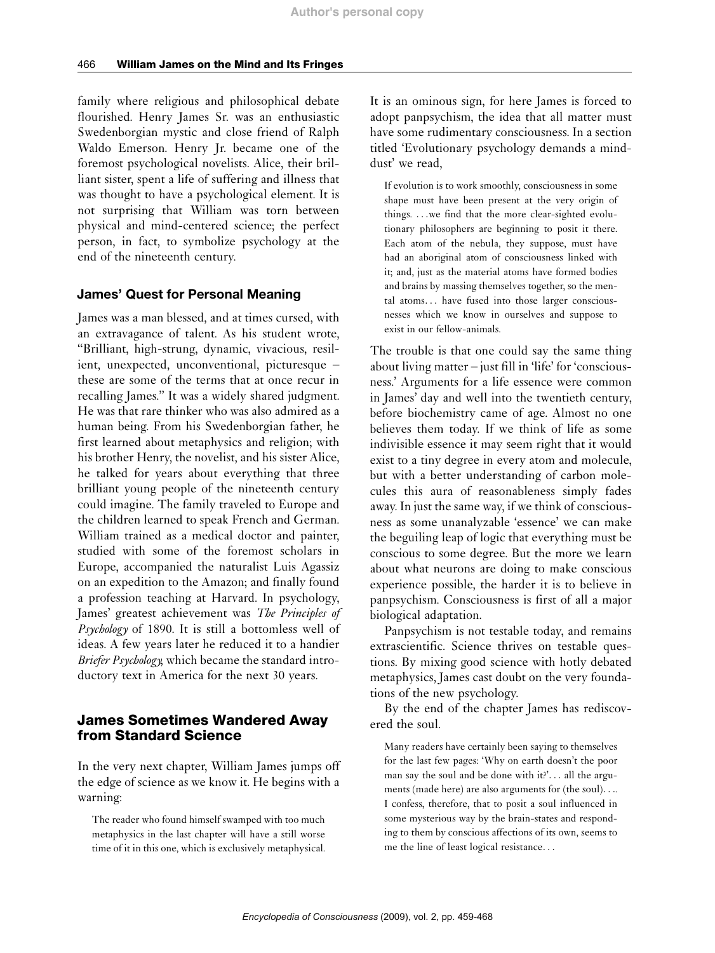family where religious and philosophical debate flourished. Henry James Sr. was an enthusiastic Swedenborgian mystic and close friend of Ralph Waldo Emerson. Henry Jr. became one of the foremost psychological novelists. Alice, their brilliant sister, spent a life of suffering and illness that was thought to have a psychological element. It is not surprising that William was torn between physical and mind-centered science; the perfect person, in fact, to symbolize psychology at the end of the nineteenth century.

#### James' Quest for Personal Meaning

James was a man blessed, and at times cursed, with an extravagance of talent. As his student wrote, ''Brilliant, high-strung, dynamic, vivacious, resilient, unexpected, unconventional, picturesque – these are some of the terms that at once recur in recalling James.'' It was a widely shared judgment. He was that rare thinker who was also admired as a human being. From his Swedenborgian father, he first learned about metaphysics and religion; with his brother Henry, the novelist, and his sister Alice, he talked for years about everything that three brilliant young people of the nineteenth century could imagine. The family traveled to Europe and the children learned to speak French and German. William trained as a medical doctor and painter, studied with some of the foremost scholars in Europe, accompanied the naturalist Luis Agassiz on an expedition to the Amazon; and finally found a profession teaching at Harvard. In psychology, James' greatest achievement was The Principles of Psychology of 1890. It is still a bottomless well of ideas. A few years later he reduced it to a handier Briefer Psychology, which became the standard introductory text in America for the next 30 years.

# James Sometimes Wandered Away from Standard Science

In the very next chapter, William James jumps off the edge of science as we know it. He begins with a warning:

The reader who found himself swamped with too much metaphysics in the last chapter will have a still worse time of it in this one, which is exclusively metaphysical.

It is an ominous sign, for here James is forced to adopt panpsychism, the idea that all matter must have some rudimentary consciousness. In a section titled 'Evolutionary psychology demands a minddust' we read,

If evolution is to work smoothly, consciousness in some shape must have been present at the very origin of things. ...we find that the more clear-sighted evolutionary philosophers are beginning to posit it there. Each atom of the nebula, they suppose, must have had an aboriginal atom of consciousness linked with it; and, just as the material atoms have formed bodies and brains by massing themselves together, so the mental atoms... have fused into those larger consciousnesses which we know in ourselves and suppose to exist in our fellow-animals.

The trouble is that one could say the same thing about living matter – just fill in 'life' for 'consciousness.' Arguments for a life essence were common in James' day and well into the twentieth century, before biochemistry came of age. Almost no one believes them today. If we think of life as some indivisible essence it may seem right that it would exist to a tiny degree in every atom and molecule, but with a better understanding of carbon molecules this aura of reasonableness simply fades away. In just the same way, if we think of consciousness as some unanalyzable 'essence' we can make the beguiling leap of logic that everything must be conscious to some degree. But the more we learn about what neurons are doing to make conscious experience possible, the harder it is to believe in panpsychism. Consciousness is first of all a major biological adaptation.

Panpsychism is not testable today, and remains extrascientific. Science thrives on testable questions. By mixing good science with hotly debated metaphysics, James cast doubt on the very foundations of the new psychology.

By the end of the chapter James has rediscovered the soul.

Many readers have certainly been saying to themselves for the last few pages: 'Why on earth doesn't the poor man say the soul and be done with it?'... all the arguments (made here) are also arguments for (the soul). . .. I confess, therefore, that to posit a soul influenced in some mysterious way by the brain-states and responding to them by conscious affections of its own, seems to me the line of least logical resistance. . .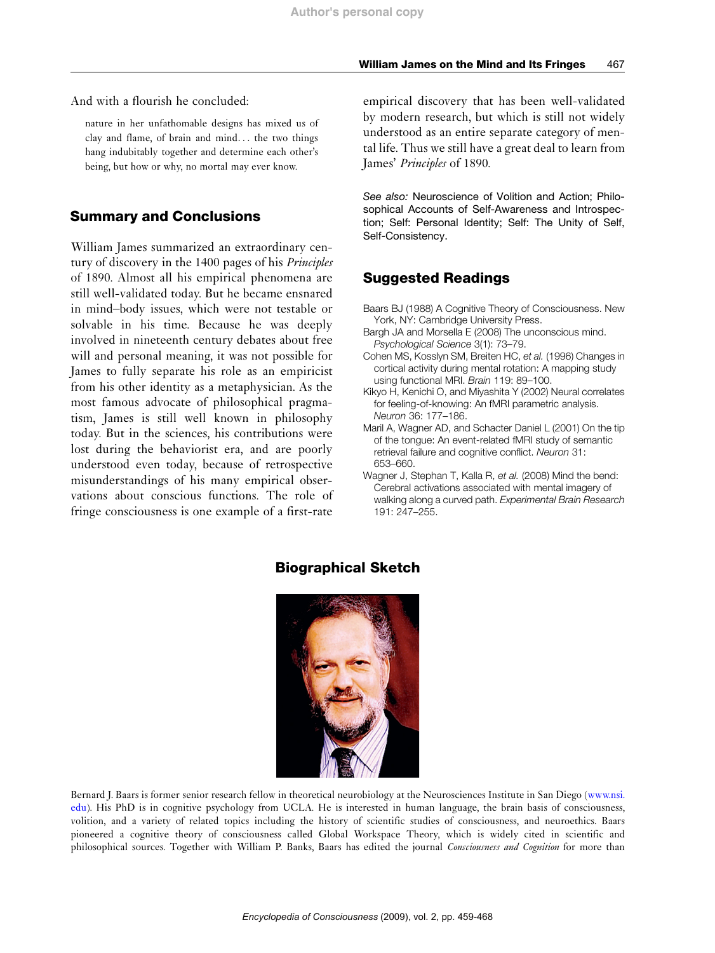And with a flourish he concluded:

nature in her unfathomable designs has mixed us of clay and flame, of brain and mind... the two things hang indubitably together and determine each other's being, but how or why, no mortal may ever know.

# Summary and Conclusions

William James summarized an extraordinary century of discovery in the 1400 pages of his Principles of 1890. Almost all his empirical phenomena are still well-validated today. But he became ensnared in mind–body issues, which were not testable or solvable in his time. Because he was deeply involved in nineteenth century debates about free will and personal meaning, it was not possible for James to fully separate his role as an empiricist from his other identity as a metaphysician. As the most famous advocate of philosophical pragmatism, James is still well known in philosophy today. But in the sciences, his contributions were lost during the behaviorist era, and are poorly understood even today, because of retrospective misunderstandings of his many empirical observations about conscious functions. The role of fringe consciousness is one example of a first-rate

empirical discovery that has been well-validated by modern research, but which is still not widely understood as an entire separate category of mental life. Thus we still have a great deal to learn from James' Principles of 1890.

See also: Neuroscience of Volition and Action; Philosophical Accounts of Self-Awareness and Introspection; Self: Personal Identity; Self: The Unity of Self, Self-Consistency.

# Suggested Readings

- Baars BJ (1988) A Cognitive Theory of Consciousness. New York, NY: Cambridge University Press.
- Bargh JA and Morsella E (2008) The unconscious mind. Psychological Science 3(1): 73–79.
- Cohen MS, Kosslyn SM, Breiten HC, et al. (1996) Changes in cortical activity during mental rotation: A mapping study using functional MRI. Brain 119: 89–100.
- Kikyo H, Kenichi O, and Miyashita Y (2002) Neural correlates for feeling-of-knowing: An fMRI parametric analysis. Neuron 36: 177–186.
- Maril A, Wagner AD, and Schacter Daniel L (2001) On the tip of the tongue: An event-related fMRI study of semantic retrieval failure and cognitive conflict. Neuron 31: 653–660.
- Wagner J, Stephan T, Kalla R, et al. (2008) Mind the bend: Cerebral activations associated with mental imagery of walking along a curved path. Experimental Brain Research 191: 247–255.

### Biographical Sketch



Bernard J. Baars is former senior research fellow in theoretical neurobiology at the Neurosciences Institute in San Diego ([www.nsi.](http://www.nsi.edu) [edu](http://www.nsi.edu)). His PhD is in cognitive psychology from UCLA. He is interested in human language, the brain basis of consciousness, volition, and a variety of related topics including the history of scientific studies of consciousness, and neuroethics. Baars pioneered a cognitive theory of consciousness called Global Workspace Theory, which is widely cited in scientific and philosophical sources. Together with William P. Banks, Baars has edited the journal Consciousness and Cognition for more than